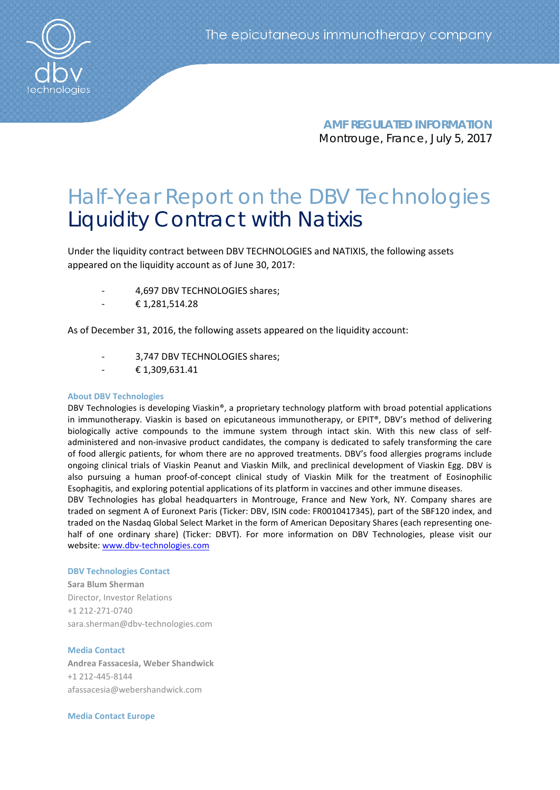**AMF REGULATED INFORMATION** Montrouge, France, July 5, 2017

## Half-Year Report on the DBV Technologies Liquidity Contract with Natixis

Under the liquidity contract between DBV TECHNOLOGIES and NATIXIS, the following assets appeared on the liquidity account as of June 30, 2017:

- 4,697 DBV TECHNOLOGIES shares;
- € 1,281,514.28

As of December 31, 2016, the following assets appeared on the liquidity account:

- 3,747 DBV TECHNOLOGIES shares;
- € 1,309,631.41

## **About DBV Technologies**

DBV Technologies is developing Viaskin®, a proprietary technology platform with broad potential applications in immunotherapy. Viaskin is based on epicutaneous immunotherapy, or EPIT®, DBV's method of delivering biologically active compounds to the immune system through intact skin. With this new class of selfadministered and non-invasive product candidates, the company is dedicated to safely transforming the care of food allergic patients, for whom there are no approved treatments. DBV's food allergies programs include ongoing clinical trials of Viaskin Peanut and Viaskin Milk, and preclinical development of Viaskin Egg. DBV is also pursuing a human proof-of-concept clinical study of Viaskin Milk for the treatment of Eosinophilic Esophagitis, and exploring potential applications of its platform in vaccines and other immune diseases. DBV Technologies has global headquarters in Montrouge, France and New York, NY. Company shares are

traded on segment A of Euronext Paris (Ticker: DBV, ISIN code: FR0010417345), part of the SBF120 index, and traded on the Nasdaq Global Select Market in the form of American Depositary Shares (each representing onehalf of one ordinary share) (Ticker: DBVT). For more information on DBV Technologies, please visit our website: [www.dbv-technologies.com](http://www.dbv-technologies.com/)

## **DBV Technologies Contact**

**Sara Blum Sherman** Director, Investor Relations +1 212-271-0740 [sara.sherman@dbv-technologies.com](mailto:susanna.mesa@dbv-technologies.com)

## **Media Contact**

**Andrea Fassacesia, Weber Shandwick** +1 212-445-8144 [afassacesia@webershandwick.com](mailto:afassacesia@webershandwick.com)

**Media Contact Europe**